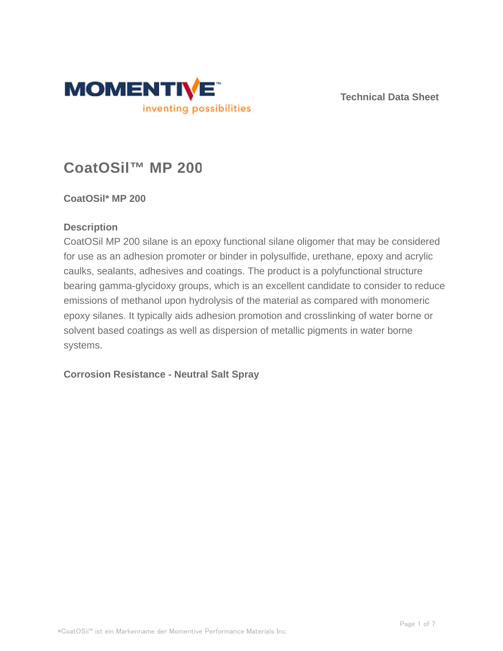

**Technical Data Sheet**

# **CoatOSil™ MP 200**

# **CoatOSil\* MP 200**

# **Description**

CoatOSil MP 200 silane is an epoxy functional silane oligomer that may be considered for use as an adhesion promoter or binder in polysulfide, urethane, epoxy and acrylic caulks, sealants, adhesives and coatings. The product is a polyfunctional structure bearing gamma-glycidoxy groups, which is an excellent candidate to consider to reduce emissions of methanol upon hydrolysis of the material as compared with monomeric epoxy silanes. It typically aids adhesion promotion and crosslinking of water borne or solvent based coatings as well as dispersion of metallic pigments in water borne systems.

# **Corrosion Resistance - Neutral Salt Spray**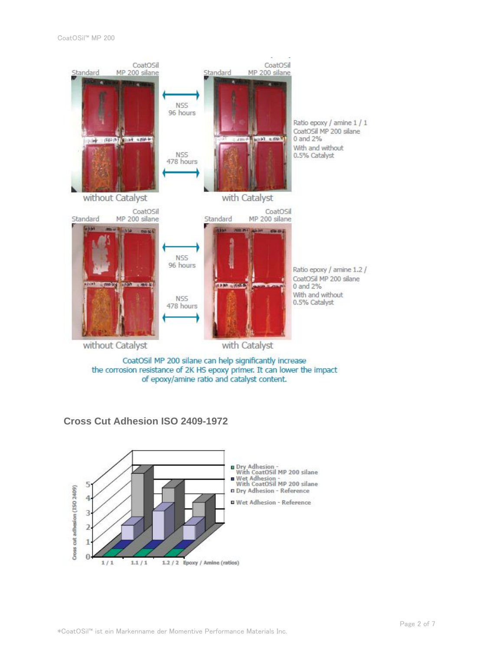

the corrosion resistance of 2K HS epoxy primer. It can lower the impact of epoxy/amine ratio and catalyst content.



#### **Cross Cut Adhesion ISO 2409-1972**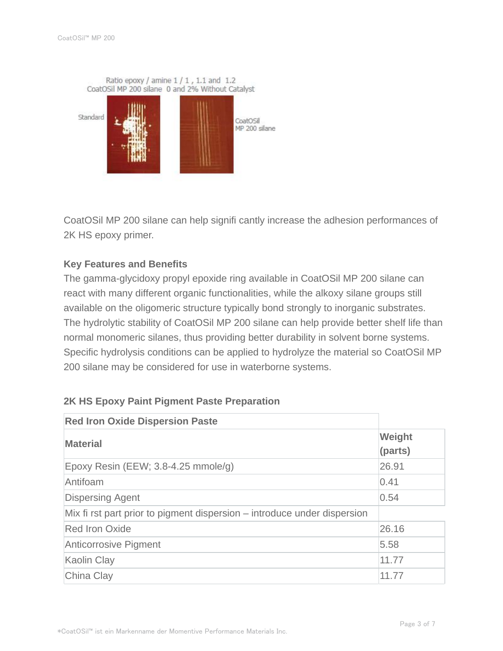Ratio epoxy / amine 1 / 1, 1.1 and 1.2 CoatOSil MP 200 silane 0 and 2% Without Catalyst



CoatOSil MP 200 silane can help signifi cantly increase the adhesion performances of 2K HS epoxy primer.

## **Key Features and Benefits**

The gamma-glycidoxy propyl epoxide ring available in CoatOSil MP 200 silane can react with many different organic functionalities, while the alkoxy silane groups still available on the oligomeric structure typically bond strongly to inorganic substrates. The hydrolytic stability of CoatOSil MP 200 silane can help provide better shelf life than normal monomeric silanes, thus providing better durability in solvent borne systems. Specific hydrolysis conditions can be applied to hydrolyze the material so CoatOSil MP 200 silane may be considered for use in waterborne systems.

| <b>Red Iron Oxide Dispersion Paste</b>                                   |                   |
|--------------------------------------------------------------------------|-------------------|
| <b>Material</b>                                                          | Weight<br>(parts) |
| Epoxy Resin (EEW; 3.8-4.25 mmole/g)                                      | 26.91             |
| Antifoam                                                                 | 0.41              |
| <b>Dispersing Agent</b>                                                  | 0.54              |
| Mix fi rst part prior to pigment dispersion – introduce under dispersion |                   |
| <b>Red Iron Oxide</b>                                                    | 26.16             |
| <b>Anticorrosive Pigment</b>                                             | 5.58              |
| Kaolin Clay                                                              | 11.77             |
| China Clay                                                               | 11.77             |

#### **2K HS Epoxy Paint Pigment Paste Preparation**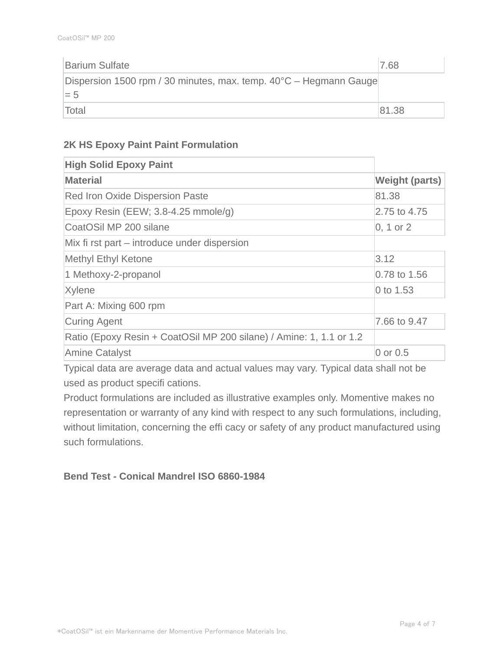| <b>Barium Sulfate</b>                                                     | 7.68  |
|---------------------------------------------------------------------------|-------|
| Dispersion 1500 rpm / 30 minutes, max. temp. 40°C – Hegmann Gauge<br>$=5$ |       |
| Total                                                                     | 81.38 |

#### **2K HS Epoxy Paint Paint Formulation**

| <b>High Solid Epoxy Paint</b>                                       |                       |
|---------------------------------------------------------------------|-----------------------|
| <b>Material</b>                                                     | <b>Weight (parts)</b> |
| <b>Red Iron Oxide Dispersion Paste</b>                              | 81.38                 |
| Epoxy Resin (EEW; 3.8-4.25 mmole/g)                                 | 2.75 to 4.75          |
| CoatOSil MP 200 silane                                              | $0, 1$ or $2$         |
| Mix fi rst part – introduce under dispersion                        |                       |
| <b>Methyl Ethyl Ketone</b>                                          | 3.12                  |
| 1 Methoxy-2-propanol                                                | 0.78 to 1.56          |
| Xylene                                                              | 0 to 1.53             |
| Part A: Mixing 600 rpm                                              |                       |
| Curing Agent                                                        | 7.66 to 9.47          |
| Ratio (Epoxy Resin + CoatOSil MP 200 silane) / Amine: 1, 1.1 or 1.2 |                       |
| <b>Amine Catalyst</b>                                               | 0 or 0.5              |

Typical data are average data and actual values may vary. Typical data shall not be used as product specifi cations.

Product formulations are included as illustrative examples only. Momentive makes no representation or warranty of any kind with respect to any such formulations, including, without limitation, concerning the effi cacy or safety of any product manufactured using such formulations.

# **Bend Test - Conical Mandrel ISO 6860-1984**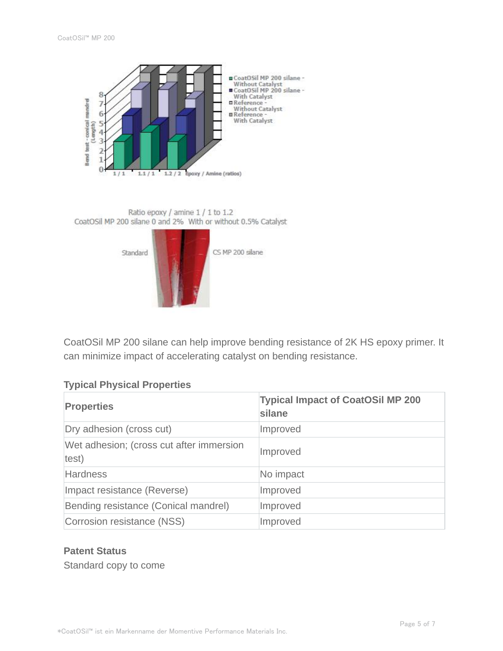





CoatOSil MP 200 silane can help improve bending resistance of 2K HS epoxy primer. It can minimize impact of accelerating catalyst on bending resistance.

# **Typical Physical Properties**

| <b>Properties</b>                                 | <b>Typical Impact of CoatOSil MP 200</b><br>silane |
|---------------------------------------------------|----------------------------------------------------|
| Dry adhesion (cross cut)                          | Improved                                           |
| Wet adhesion; (cross cut after immersion<br>test) | Improved                                           |
| <b>Hardness</b>                                   | No impact                                          |
| Impact resistance (Reverse)                       | Improved                                           |
| Bending resistance (Conical mandrel)              | Improved                                           |
| Corrosion resistance (NSS)                        | Improved                                           |

## **Patent Status**

Standard copy to come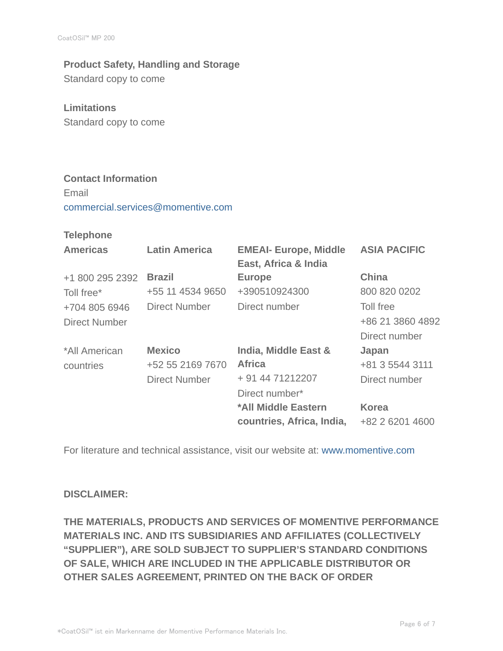# **Product Safety, Handling and Storage**

Standard copy to come

#### **Limitations**

Standard copy to come

## **Contact Information**

Email commercial.services@momentive.com

#### **Telephone**

| <b>Americas</b> | <b>Latin America</b> | <b>EMEAI- Europe, Middle</b><br>East, Africa & India | <b>ASIA PACIFIC</b> |
|-----------------|----------------------|------------------------------------------------------|---------------------|
| +1 800 295 2392 | <b>Brazil</b>        | <b>Europe</b>                                        | <b>China</b>        |
| Toll free*      | +55 11 4534 9650     | +390510924300                                        | 800 820 0202        |
| +704 805 6946   | Direct Number        | Direct number                                        | Toll free           |
| Direct Number   |                      |                                                      | +86 21 3860 4892    |
|                 |                      |                                                      | Direct number       |
| *All American   | <b>Mexico</b>        | India, Middle East &                                 | Japan               |
| countries       | +52 55 2169 7670     | <b>Africa</b>                                        | +81 3 5544 3111     |
|                 | <b>Direct Number</b> | + 91 44 71212207                                     | Direct number       |
|                 |                      | Direct number*                                       |                     |
|                 |                      | *All Middle Eastern                                  | <b>Korea</b>        |
|                 |                      | countries, Africa, India,                            | +82 2 6201 4600     |

For literature and technical assistance, visit our website at: www.momentive.com

#### **DISCLAIMER:**

**THE MATERIALS, PRODUCTS AND SERVICES OF MOMENTIVE PERFORMANCE MATERIALS INC. AND ITS SUBSIDIARIES AND AFFILIATES (COLLECTIVELY "SUPPLIER"), ARE SOLD SUBJECT TO SUPPLIER'S STANDARD CONDITIONS OF SALE, WHICH ARE INCLUDED IN THE APPLICABLE DISTRIBUTOR OR OTHER SALES AGREEMENT, PRINTED ON THE BACK OF ORDER**